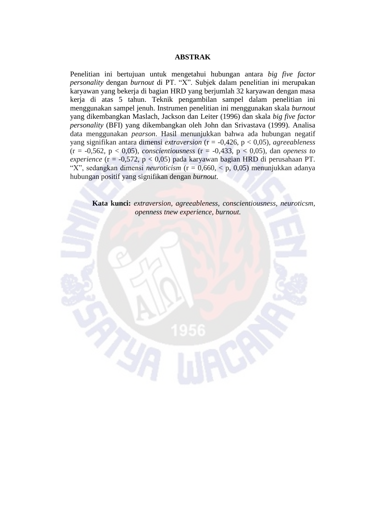## **ABSTRAK**

Penelitian ini bertujuan untuk mengetahui hubungan antara *big five factor personality* dengan *burnout* di PT. "X". Subjek dalam penelitian ini merupakan karyawan yang bekerja di bagian HRD yang berjumlah 32 karyawan dengan masa kerja di atas 5 tahun. Teknik pengambilan sampel dalam penelitian ini menggunakan sampel jenuh. Instrumen penelitian ini menggunakan skala *burnout*  yang dikembangkan Maslach, Jackson dan Leiter (1996) dan skala *big five factor personality* (BFI) yang dikembangkan oleh John dan Srivastava (1999). Analisa data menggunakan *pearson*. Hasil menunjukkan bahwa ada hubungan negatif yang signifikan antara dimensi *extraversion* (r = -0,426, p < 0,05)*, agreeableness*  (r = -0,562, p < 0,05)*, conscientiousness* (r = -0,433, p < 0,05)*,* dan *openess to experience* (r = -0,572, p < 0,05) pada karyawan bagian HRD di perusahaan PT. "X", sedangkan dimensi *neuroticism* (r = 0,660, < p, 0,05) menunjukkan adanya hubungan positif yang signifikan dengan *burnout*.

**Kata kunci:** *extraversion, agreeableness, conscientiousness, neuroticsm,*  *openness tnew experience, burnout.*